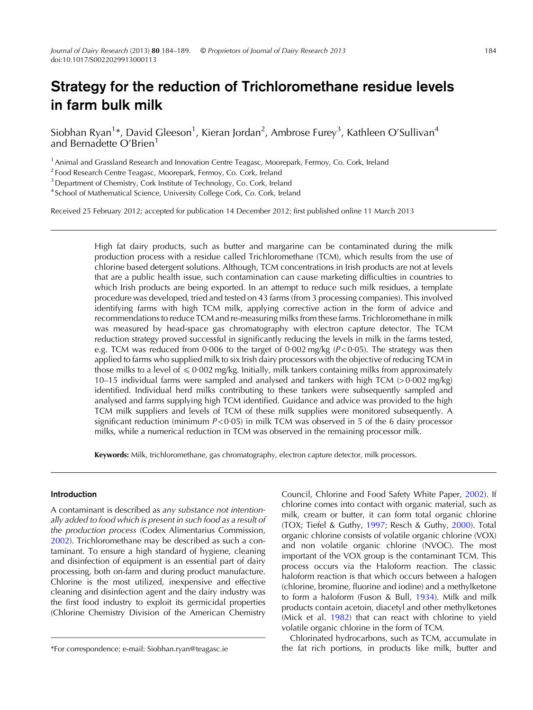# Strategy for the reduction of Trichloromethane residue levels in farm bulk milk

Siobhan Ryan $^{1*}$ , David Gleeson $^{1}$ , Kieran Jordan $^{2}$ , Ambrose Furey $^{3}$ , Kathleen O'Sullivan $^{4}$ and Bernadette O'Brien<sup>1</sup>

<sup>1</sup> Animal and Grassland Research and Innovation Centre Teagasc, Moorepark, Fermoy, Co. Cork, Ireland

<sup>2</sup> Food Research Centre Teagasc, Moorepark, Fermoy, Co. Cork, Ireland

<sup>3</sup> Department of Chemistry, Cork Institute of Technology, Co. Cork, Ireland

<sup>4</sup> School of Mathematical Science, University College Cork, Co. Cork, Ireland

Received 25 February 2012; accepted for publication 14 December 2012; first published online 11 March 2013

High fat dairy products, such as butter and margarine can be contaminated during the milk production process with a residue called Trichloromethane (TCM), which results from the use of chlorine based detergent solutions. Although, TCM concentrations in Irish products are not at levels that are a public health issue, such contamination can cause marketing difficulties in countries to which Irish products are being exported. In an attempt to reduce such milk residues, a template procedure was developed, tried and tested on 43 farms (from 3 processing companies). This involved identifying farms with high TCM milk, applying corrective action in the form of advice and recommendations to reduce TCM and re-measuring milks from these farms. Trichloromethane in milk was measured by head-space gas chromatography with electron capture detector. The TCM reduction strategy proved successful in significantly reducing the levels in milk in the farms tested, e.g. TCM was reduced from 0.006 to the target of 0.002 mg/kg ( $P < 0.05$ ). The strategy was then applied to farms who supplied milk to six Irish dairy processors with the objective of reducing TCM in those milks to a level of  $\leq 0.002$  mg/kg. Initially, milk tankers containing milks from approximately 10–15 individual farms were sampled and analysed and tankers with high TCM (> 0·002 mg/kg) identified. Individual herd milks contributing to these tankers were subsequently sampled and analysed and farms supplying high TCM identified. Guidance and advice was provided to the high TCM milk suppliers and levels of TCM of these milk supplies were monitored subsequently. A significant reduction (minimum  $P < 0.05$ ) in milk TCM was observed in 5 of the 6 dairy processor milks, while a numerical reduction in TCM was observed in the remaining processor milk.

Keywords: Milk, trichloromethane, gas chromatography, electron capture detector, milk processors.

# Introduction

A contaminant is described as any substance not intentionally added to food which is present in such food as a result of the production process (Codex Alimentarius Commission, [2002\)](#page-5-0). Trichloromethane may be described as such a contaminant. To ensure a high standard of hygiene, cleaning and disinfection of equipment is an essential part of dairy processing, both on-farm and during product manufacture. Chlorine is the most utilized, inexpensive and effective cleaning and disinfection agent and the dairy industry was the first food industry to exploit its germicidal properties (Chlorine Chemistry Division of the American Chemistry

Council, Chlorine and Food Safety White Paper, [2002\)](#page-5-0). If chlorine comes into contact with organic material, such as milk, cream or butter, it can form total organic chlorine (TOX; Tiefel & Guthy, [1997](#page-5-0); Resch & Guthy, [2000\)](#page-5-0). Total organic chlorine consists of volatile organic chlorine (VOX) and non volatile organic chlorine (NVOC). The most important of the VOX group is the contaminant TCM. This process occurs via the Haloform reaction. The classic haloform reaction is that which occurs between a halogen (chlorine, bromine, fluorine and iodine) and a methylketone to form a haloform (Fuson & Bull, [1934](#page-5-0)). Milk and milk products contain acetoin, diacetyl and other methylketones (Mick et al. [1982](#page-5-0)) that can react with chlorine to yield volatile organic chlorine in the form of TCM.

Chlorinated hydrocarbons, such as TCM, accumulate in \*For correspondence; e-mail: Siobhan.ryan@teagasc.ie the fat rich portions, in products like milk, butter and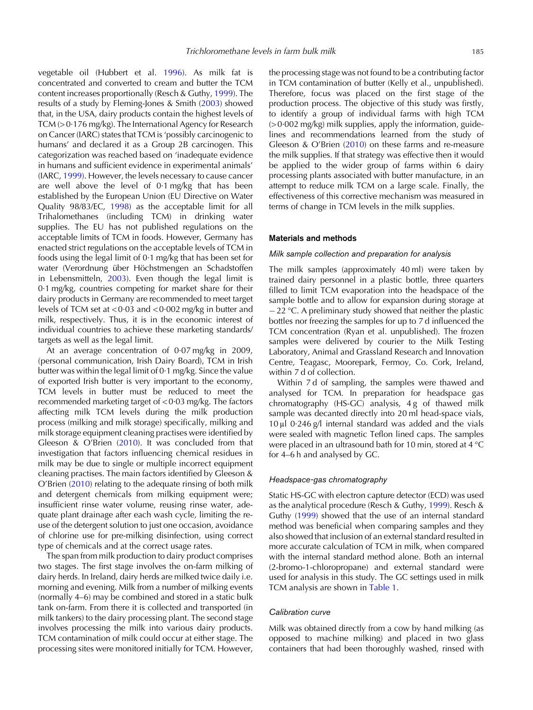vegetable oil (Hubbert et al. [1996\)](#page-5-0). As milk fat is concentrated and converted to cream and butter the TCM content increases proportionally (Resch & Guthy, [1999](#page-5-0)). The results of a study by Fleming-Jones & Smith ([2003\)](#page-5-0) showed that, in the USA, dairy products contain the highest levels of TCM (> 0·176 mg/kg). The International Agency for Research on Cancer (IARC) states that TCM is'possibly carcinogenic to humans' and declared it as a Group 2B carcinogen. This categorization was reached based on 'inadequate evidence in humans and sufficient evidence in experimental animals' (IARC, [1999\)](#page-5-0). However, the levels necessary to cause cancer are well above the level of 0·1 mg/kg that has been established by the European Union (EU Directive on Water Quality 98/83/EC, [1998](#page-5-0)) as the acceptable limit for all Trihalomethanes (including TCM) in drinking water supplies. The EU has not published regulations on the acceptable limits of TCM in foods. However, Germany has enacted strict regulations on the acceptable levels of TCM in foods using the legal limit of 0·1 mg/kg that has been set for water (Verordnung über Höchstmengen an Schadstoffen in Lebensmitteln, [2003](#page-5-0)). Even though the legal limit is 0·1 mg/kg, countries competing for market share for their dairy products in Germany are recommended to meet target levels of TCM set at < 0·03 and < 0·002 mg/kg in butter and milk, respectively. Thus, it is in the economic interest of individual countries to achieve these marketing standards/ targets as well as the legal limit.

At an average concentration of 0·07 mg/kg in 2009, (personal communication, Irish Dairy Board), TCM in Irish butter was within the legal limit of 0·1 mg/kg. Since the value of exported Irish butter is very important to the economy, TCM levels in butter must be reduced to meet the recommended marketing target of < 0·03 mg/kg. The factors affecting milk TCM levels during the milk production process (milking and milk storage) specifically, milking and milk storage equipment cleaning practises were identified by Gleeson & O'Brien ([2010\)](#page-5-0). It was concluded from that investigation that factors influencing chemical residues in milk may be due to single or multiple incorrect equipment cleaning practises. The main factors identified by Gleeson & O'Brien [\(2010\)](#page-5-0) relating to the adequate rinsing of both milk and detergent chemicals from milking equipment were; insufficient rinse water volume, reusing rinse water, adequate plant drainage after each wash cycle, limiting the reuse of the detergent solution to just one occasion, avoidance of chlorine use for pre-milking disinfection, using correct type of chemicals and at the correct usage rates.

The span from milk production to dairy product comprises two stages. The first stage involves the on-farm milking of dairy herds. In Ireland, dairy herds are milked twice daily i.e. morning and evening. Milk from a number of milking events (normally 4–6) may be combined and stored in a static bulk tank on-farm. From there it is collected and transported (in milk tankers) to the dairy processing plant. The second stage involves processing the milk into various dairy products. TCM contamination of milk could occur at either stage. The processing sites were monitored initially for TCM. However,

the processing stage was not found to be a contributing factor in TCM contamination of butter (Kelly et al., unpublished). Therefore, focus was placed on the first stage of the production process. The objective of this study was firstly, to identify a group of individual farms with high TCM  $(0.002 \text{ mg/kg})$  milk supplies, apply the information, guidelines and recommendations learned from the study of Gleeson & O'Brien ([2010\)](#page-5-0) on these farms and re-measure the milk supplies. If that strategy was effective then it would be applied to the wider group of farms within 6 dairy processing plants associated with butter manufacture, in an attempt to reduce milk TCM on a large scale. Finally, the effectiveness of this corrective mechanism was measured in terms of change in TCM levels in the milk supplies.

#### Materials and methods

#### Milk sample collection and preparation for analysis

The milk samples (approximately 40 ml) were taken by trained dairy personnel in a plastic bottle, three quarters filled to limit TCM evaporation into the headspace of the sample bottle and to allow for expansion during storage at  $-22$  °C. A preliminary study showed that neither the plastic bottles nor freezing the samples for up to 7 d influenced the TCM concentration (Ryan et al. unpublished). The frozen samples were delivered by courier to the Milk Testing Laboratory, Animal and Grassland Research and Innovation Centre, Teagasc, Moorepark, Fermoy, Co. Cork, Ireland, within 7 d of collection.

Within 7 d of sampling, the samples were thawed and analysed for TCM. In preparation for headspace gas chromatography (HS-GC) analysis, 4 g of thawed milk sample was decanted directly into 20 ml head-space vials, 10 μl 0·246 g/l internal standard was added and the vials were sealed with magnetic Teflon lined caps. The samples were placed in an ultrasound bath for 10 min, stored at 4 °C for 4–6 h and analysed by GC.

#### Headspace-gas chromatography

Static HS-GC with electron capture detector (ECD) was used as the analytical procedure (Resch & Guthy, [1999\)](#page-5-0). Resch & Guthy ([1999\)](#page-5-0) showed that the use of an internal standard method was beneficial when comparing samples and they also showed that inclusion of an external standard resulted in more accurate calculation of TCM in milk, when compared with the internal standard method alone. Both an internal (2-bromo-1-chloropropane) and external standard were used for analysis in this study. The GC settings used in milk TCM analysis are shown in [Table 1](#page-2-0).

# Calibration curve

Milk was obtained directly from a cow by hand milking (as opposed to machine milking) and placed in two glass containers that had been thoroughly washed, rinsed with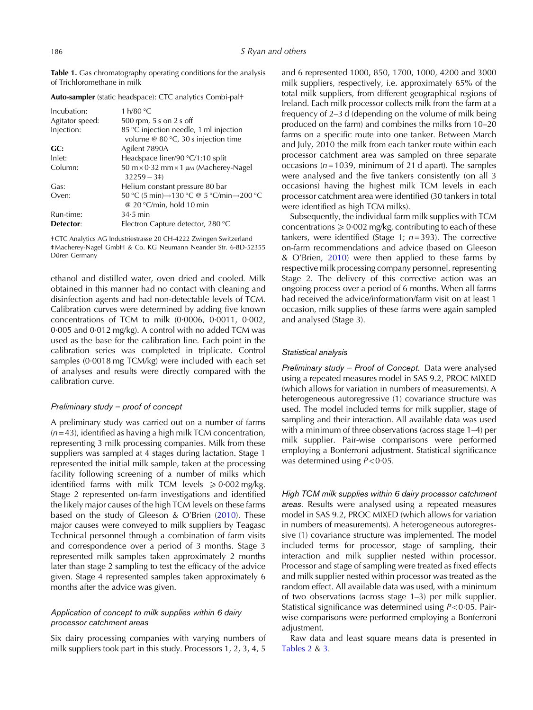<span id="page-2-0"></span>Table 1. Gas chromatography operating conditions for the analysis of Trichloromethane in milk

| Incubation:            | 1 $h/80 °C$                                                                                               |
|------------------------|-----------------------------------------------------------------------------------------------------------|
| Agitator speed:        | 500 rpm, 5 s on 2 s off                                                                                   |
| Injection:             | 85 °C injection needle, 1 ml injection<br>volume @ 80 °C, 30 s injection time                             |
| GC:                    | Agilent 7890A                                                                                             |
| Inlet:                 | Headspace liner/90 °C/1:10 split                                                                          |
| Column:                | $50 \text{ m} \times 0.32 \text{ mm} \times 1 \text{ }\mu\text{M}$ (Macherey-Nagel<br>$32259 - 3\ddagger$ |
| Gas:                   | Helium constant pressure 80 bar                                                                           |
| Oven:                  | 50 °C (5 min)→130 °C @ 5 °C/min→200 °C<br>@ 20 $\degree$ C/min, hold 10 min                               |
| Run-time:<br>Detector: | $34.5$ min<br>Electron Capture detector, 280 °C                                                           |

Auto-sampler (static headspace): CTC analytics Combi-pal†

†CTC Analytics AG Industriestrasse 20 CH-4222 Zwingen Switzerland ‡Macherey-Nagel GmbH & Co. KG Neumann Neander Str. 6-8D-52355 Düren Germany

ethanol and distilled water, oven dried and cooled. Milk obtained in this manner had no contact with cleaning and disinfection agents and had non-detectable levels of TCM. Calibration curves were determined by adding five known concentrations of TCM to milk (0·0006, 0·0011, 0·002, 0·005 and 0·012 mg/kg). A control with no added TCM was used as the base for the calibration line. Each point in the calibration series was completed in triplicate. Control samples (0·0018 mg TCM/kg) were included with each set of analyses and results were directly compared with the calibration curve.

## Preliminary study – proof of concept

A preliminary study was carried out on a number of farms  $(n= 43)$ , identified as having a high milk TCM concentration, representing 3 milk processing companies. Milk from these suppliers was sampled at 4 stages during lactation. Stage 1 represented the initial milk sample, taken at the processing facility following screening of a number of milks which identified farms with milk TCM levels  $\geq 0.002$  mg/kg. Stage 2 represented on-farm investigations and identified the likely major causes of the high TCM levels on these farms based on the study of Gleeson & O'Brien [\(2010](#page-5-0)). These major causes were conveyed to milk suppliers by Teagasc Technical personnel through a combination of farm visits and correspondence over a period of 3 months. Stage 3 represented milk samples taken approximately 2 months later than stage 2 sampling to test the efficacy of the advice given. Stage 4 represented samples taken approximately 6 months after the advice was given.

# Application of concept to milk supplies within 6 dairy processor catchment areas

Six dairy processing companies with varying numbers of milk suppliers took part in this study. Processors 1, 2, 3, 4, 5

and 6 represented 1000, 850, 1700, 1000, 4200 and 3000 milk suppliers, respectively, i.e. approximately 65% of the total milk suppliers, from different geographical regions of Ireland. Each milk processor collects milk from the farm at a frequency of 2–3 d (depending on the volume of milk being produced on the farm) and combines the milks from 10–20 farms on a specific route into one tanker. Between March and July, 2010 the milk from each tanker route within each processor catchment area was sampled on three separate occasions ( $n = 1039$ , minimum of 21 d apart). The samples were analysed and the five tankers consistently (on all 3 occasions) having the highest milk TCM levels in each processor catchment area were identified (30 tankers in total were identified as high TCM milks).

Subsequently, the individual farm milk supplies with TCM concentrations  $\geq 0.002$  mg/kg, contributing to each of these tankers, were identified (Stage 1;  $n=393$ ). The corrective on-farm recommendations and advice (based on Gleeson & O'Brien, [2010](#page-5-0)) were then applied to these farms by respective milk processing company personnel, representing Stage 2. The delivery of this corrective action was an ongoing process over a period of 6 months. When all farms had received the advice/information/farm visit on at least 1 occasion, milk supplies of these farms were again sampled and analysed (Stage 3).

# Statistical analysis

Preliminary study – Proof of Concept. Data were analysed using a repeated measures model in SAS 9.2, PROC MIXED (which allows for variation in numbers of measurements). A heterogeneous autoregressive (1) covariance structure was used. The model included terms for milk supplier, stage of sampling and their interaction. All available data was used with a minimum of three observations (across stage 1–4) per milk supplier. Pair-wise comparisons were performed employing a Bonferroni adjustment. Statistical significance was determined using  $P < 0.05$ .

High TCM milk supplies within 6 dairy processor catchment areas. Results were analysed using a repeated measures model in SAS 9.2, PROC MIXED (which allows for variation in numbers of measurements). A heterogeneous autoregressive (1) covariance structure was implemented. The model included terms for processor, stage of sampling, their interaction and milk supplier nested within processor. Processor and stage of sampling were treated as fixed effects and milk supplier nested within processor was treated as the random effect. All available data was used, with a minimum of two observations (across stage 1–3) per milk supplier. Statistical significance was determined using P< 0·05. Pairwise comparisons were performed employing a Bonferroni adiustment.

Raw data and least square means data is presented in [Tables 2](#page-3-0) & [3](#page-4-0).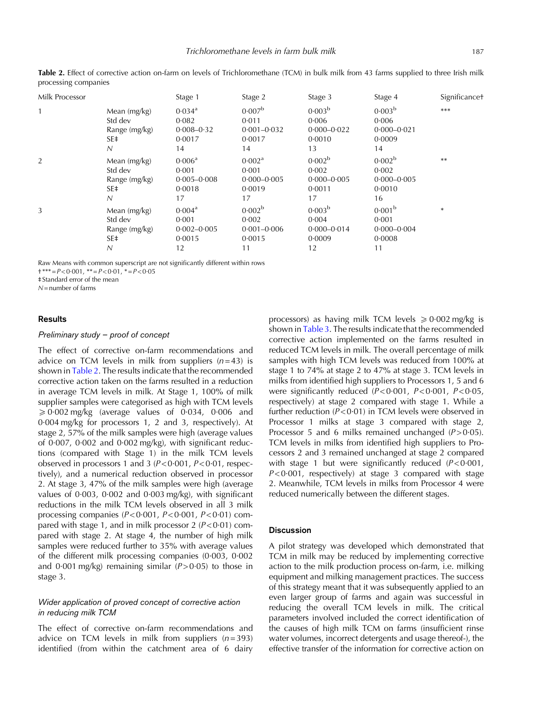| Milk Processor |                                                        | Stage 1                                                         | Stage 2                                                        | Stage 3                                                        | Stage 4                                                        | Significance <sup>+</sup> |
|----------------|--------------------------------------------------------|-----------------------------------------------------------------|----------------------------------------------------------------|----------------------------------------------------------------|----------------------------------------------------------------|---------------------------|
|                | Mean $(mg/kg)$<br>Std dev<br>Range (mg/kg)<br>SE‡<br>Ν | $0.034$ <sup>a</sup><br>0.082<br>$0.008 - 0.32$<br>0.0017<br>14 | 0.007 <sup>b</sup><br>0.011<br>$0.001 - 0.032$<br>0.0017<br>14 | 0.003 <sup>b</sup><br>0.006<br>$0.000 - 0.022$<br>0.0010<br>13 | 0.003 <sup>b</sup><br>0.006<br>$0.000 - 0.021$<br>0.0009<br>14 | $***$                     |
| $\overline{2}$ | Mean (mg/kg)<br>Std dev<br>Range (mg/kg)<br>SE‡<br>Ν   | 0.006 <sup>a</sup><br>0.001<br>$0.005 - 0.008$<br>0.0018<br>17  | 0.002 <sup>a</sup><br>0.001<br>$0.000 - 0.005$<br>0.0019<br>17 | 0.002 <sup>b</sup><br>0.002<br>$0.000 - 0.005$<br>0.0011<br>17 | 0.002 <sup>b</sup><br>0.002<br>$0.000 - 0.005$<br>0.0010<br>16 | $***$                     |
| 3              | Mean $(mg/kg)$<br>Std dev<br>Range (mg/kg)<br>SE‡<br>N | 0.004 <sup>a</sup><br>0.001<br>$0.002 - 0.005$<br>0.0015<br>12  | 0.002 <sup>b</sup><br>0.002<br>$0.001 - 0.006$<br>0.0015<br>11 | 0.003 <sup>b</sup><br>0.004<br>$0.000 - 0.014$<br>0.0009<br>12 | 0.001 <sup>b</sup><br>0.001<br>$0.000 - 0.004$<br>0.0008<br>11 | $\ast$                    |

<span id="page-3-0"></span>Table 2. Effect of corrective action on-farm on levels of Trichloromethane (TCM) in bulk milk from 43 farms supplied to three Irish milk processing companies

Raw Means with common superscript are not significantly different within rows

 $\dagger$ \*\*\*= $P<0.001$ , \*\*= $P<0.01$ , \*= $P<0.05$ 

‡ Standard error of the mean

 $N =$  number of farms

# Results

## Preliminary study – proof of concept

The effect of corrective on-farm recommendations and advice on TCM levels in milk from suppliers  $(n=43)$  is shown in Table 2. The results indicate that the recommended corrective action taken on the farms resulted in a reduction in average TCM levels in milk. At Stage 1, 100% of milk supplier samples were categorised as high with TCM levels  $\geqslant$  0·002 mg/kg (average values of 0·034, 0·006 and 0·004 mg/kg for processors 1, 2 and 3, respectively). At stage 2, 57% of the milk samples were high (average values of 0·007, 0·002 and 0·002 mg/kg), with significant reductions (compared with Stage 1) in the milk TCM levels observed in processors 1 and 3 (P< 0·001, P< 0·01, respectively), and a numerical reduction observed in processor 2. At stage 3, 47% of the milk samples were high (average values of 0·003, 0·002 and 0·003 mg/kg), with significant reductions in the milk TCM levels observed in all 3 milk processing companies  $(P<0.001, P<0.001, P<0.01)$  compared with stage 1, and in milk processor 2  $(P<0.01)$  compared with stage 2. At stage 4, the number of high milk samples were reduced further to 35% with average values of the different milk processing companies (0·003, 0·002 and  $0.001$  mg/kg) remaining similar ( $P > 0.05$ ) to those in stage 3.

# Wider application of proved concept of corrective action in reducing milk TCM

The effect of corrective on-farm recommendations and advice on TCM levels in milk from suppliers  $(n=393)$ identified (from within the catchment area of 6 dairy

processors) as having milk TCM levels  $\geq 0.002$  mg/kg is shown in [Table 3.](#page-4-0) The results indicate that the recommended corrective action implemented on the farms resulted in reduced TCM levels in milk. The overall percentage of milk samples with high TCM levels was reduced from 100% at stage 1 to 74% at stage 2 to 47% at stage 3. TCM levels in milks from identified high suppliers to Processors 1, 5 and 6 were significantly reduced (P< 0·001, P< 0·001, P< 0·05, respectively) at stage 2 compared with stage 1. While a further reduction (P< 0·01) in TCM levels were observed in Processor 1 milks at stage 3 compared with stage 2, Processor 5 and 6 milks remained unchanged  $(P> 0.05)$ . TCM levels in milks from identified high suppliers to Processors 2 and 3 remained unchanged at stage 2 compared with stage 1 but were significantly reduced  $(P < 0.001)$ ,  $P < 0.001$ , respectively) at stage 3 compared with stage 2. Meanwhile, TCM levels in milks from Processor 4 were reduced numerically between the different stages.

# **Discussion**

A pilot strategy was developed which demonstrated that TCM in milk may be reduced by implementing corrective action to the milk production process on-farm, i.e. milking equipment and milking management practices. The success of this strategy meant that it was subsequently applied to an even larger group of farms and again was successful in reducing the overall TCM levels in milk. The critical parameters involved included the correct identification of the causes of high milk TCM on farms (insufficient rinse water volumes, incorrect detergents and usage thereof-), the effective transfer of the information for corrective action on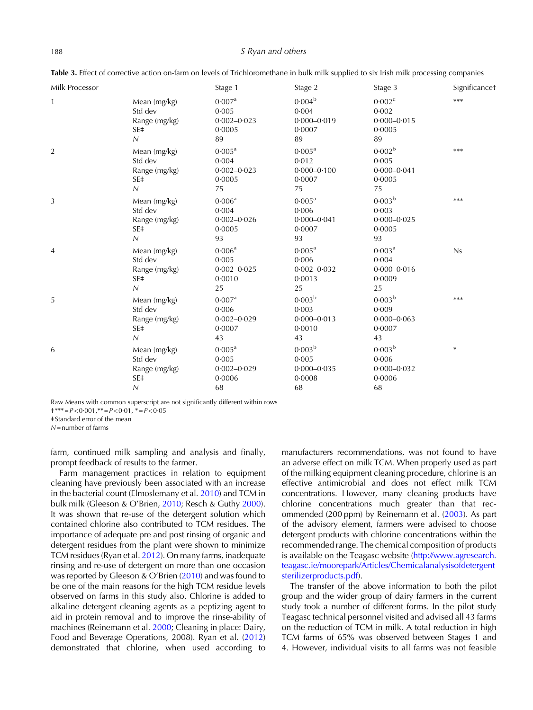#### <span id="page-4-0"></span>188 S Ryan and others S Ryan and others

| Milk Processor |                                                                               | Stage 1                                                        | Stage 2                                                        | Stage 3                                                          | Significancet |
|----------------|-------------------------------------------------------------------------------|----------------------------------------------------------------|----------------------------------------------------------------|------------------------------------------------------------------|---------------|
| 1              | Mean (mg/kg)<br>Std dev<br>Range (mg/kg)<br>SE‡<br>$\overline{N}$             | 0.007 <sup>a</sup><br>0.005<br>$0.002 - 0.023$<br>0.0005<br>89 | $0.004^{b}$<br>0.004<br>$0.000 - 0.019$<br>0.0007<br>89        | 0.002 <sup>c</sup><br>0.002<br>$0.000 - 0.015$<br>0.0005<br>89   | $***$         |
| $\overline{2}$ | Mean (mg/kg)<br>Std dev<br>Range (mg/kg)<br>SE <sup>+</sup><br>$\overline{N}$ | $0.005^{\text{a}}$<br>0.004<br>$0.002 - 0.023$<br>0.0005<br>75 | $0.005^{\text{a}}$<br>0.012<br>$0.000 - 0.100$<br>0.0007<br>75 | 0.002 <sup>b</sup><br>0.005<br>$0.000 - 0.041$<br>0.0005<br>75   | $***$         |
| 3              | Mean (mg/kg)<br>Std dev<br>Range (mg/kg)<br>SE‡<br>$\overline{N}$             | $0.006^{\rm a}$<br>0.004<br>$0.002 - 0.026$<br>0.0005<br>93    | $0.005^{\rm a}$<br>0.006<br>$0.000 - 0.041$<br>0.0007<br>93    | 0.003 <sup>b</sup><br>0.003<br>$0.000 - 0.025$<br>0.0005<br>93   | ***           |
| 4              | Mean (mg/kg)<br>Std dev<br>Range (mg/kg)<br>SE <sup>+</sup><br>$\overline{N}$ | 0.006 <sup>a</sup><br>0.005<br>$0.002 - 0.025$<br>0.0010<br>25 | $0.005^{\text{a}}$<br>0.006<br>$0.002 - 0.032$<br>0.0013<br>25 | 0.003 <sup>a</sup><br>0.004<br>$0.000 - 0.016$<br>0.0009<br>25   | Ns            |
| 5              | Mean (mg/kg)<br>Std dev<br>Range (mg/kg)<br>SE‡<br>$\cal N$                   | 0.007 <sup>a</sup><br>0.006<br>$0.002 - 0.029$<br>0.0007<br>43 | 0.003 <sup>b</sup><br>0.003<br>$0.000 - 0.013$<br>0.0010<br>43 | 0.003 <sup>b</sup><br>0.009<br>$0.000 - 0.063$<br>0.0007<br>43   | ***           |
| 6              | Mean (mg/kg)<br>Std dev<br>Range (mg/kg)<br>SE‡<br>$\cal N$                   | $0.005^{\text{a}}$<br>0.005<br>$0.002 - 0.029$<br>0.0006<br>68 | 0.003 <sup>b</sup><br>0.005<br>$0.000 - 0.035$<br>0.0008<br>68 | 0.003 <sup>b</sup><br>$0.006$<br>$0.000 - 0.032$<br>0.0006<br>68 | $\ast$        |

Table 3. Effect of corrective action on-farm on levels of Trichloromethane in bulk milk supplied to six Irish milk processing companies

Raw Means with common superscript are not significantly different within rows

 $\dagger$ \*\*\* = P < 0.001, \*\* = P < 0.01, \* = P < 0.05

‡ Standard error of the mean

 $N$  = number of farms

farm, continued milk sampling and analysis and finally, prompt feedback of results to the farmer.

Farm management practices in relation to equipment cleaning have previously been associated with an increase in the bacterial count (Elmoslemany et al. [2010\)](#page-5-0) and TCM in bulk milk (Gleeson & O'Brien, [2010](#page-5-0); Resch & Guthy [2000\)](#page-5-0). It was shown that re-use of the detergent solution which contained chlorine also contributed to TCM residues. The importance of adequate pre and post rinsing of organic and detergent residues from the plant were shown to minimize TCM residues (Ryan et al. [2012](#page-5-0)). On many farms, inadequate rinsing and re-use of detergent on more than one occasion was reported by Gleeson & O'Brien ([2010\)](#page-5-0) and was found to be one of the main reasons for the high TCM residue levels observed on farms in this study also. Chlorine is added to alkaline detergent cleaning agents as a peptizing agent to aid in protein removal and to improve the rinse-ability of machines (Reinemann et al. [2000](#page-5-0); Cleaning in place: Dairy, Food and Beverage Operations, 2008). Ryan et al. [\(2012](#page-5-0)) demonstrated that chlorine, when used according to

manufacturers recommendations, was not found to have an adverse effect on milk TCM. When properly used as part of the milking equipment cleaning procedure, chlorine is an effective antimicrobial and does not effect milk TCM concentrations. However, many cleaning products have chlorine concentrations much greater than that recommended (200 ppm) by Reinemann et al. ([2003\)](#page-5-0). As part of the advisory element, farmers were advised to choose detergent products with chlorine concentrations within the recommended range. The chemical composition of products is available on the Teagasc website ([http://www.agresearch.](http://www.agresearch.teagasc.ie/moorepark/Articles/Chemicalanalysisofdetergentsterilizerproducts.pdf) [teagasc.ie/moorepark/Articles/Chemicalanalysisofdetergent](http://www.agresearch.teagasc.ie/moorepark/Articles/Chemicalanalysisofdetergentsterilizerproducts.pdf) [sterilizerproducts.pdf](http://www.agresearch.teagasc.ie/moorepark/Articles/Chemicalanalysisofdetergentsterilizerproducts.pdf)).

The transfer of the above information to both the pilot group and the wider group of dairy farmers in the current study took a number of different forms. In the pilot study Teagasc technical personnel visited and advised all 43 farms on the reduction of TCM in milk. A total reduction in high TCM farms of 65% was observed between Stages 1 and 4. However, individual visits to all farms was not feasible